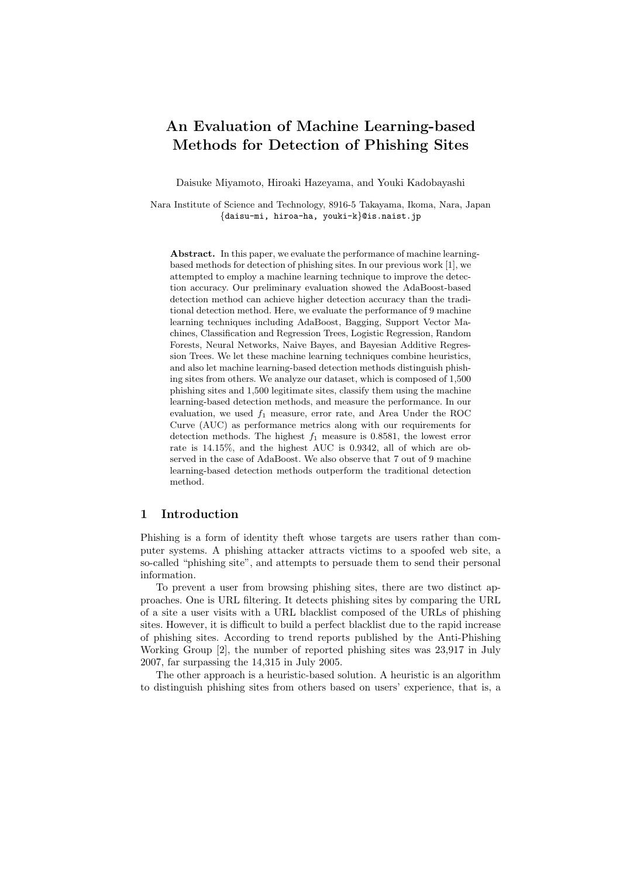# An Evaluation of Machine Learning-based Methods for Detection of Phishing Sites

Daisuke Miyamoto, Hiroaki Hazeyama, and Youki Kadobayashi

Nara Institute of Science and Technology, 8916-5 Takayama, Ikoma, Nara, Japan {daisu-mi, hiroa-ha, youki-k}@is.naist.jp

Abstract. In this paper, we evaluate the performance of machine learningbased methods for detection of phishing sites. In our previous work [1], we attempted to employ a machine learning technique to improve the detection accuracy. Our preliminary evaluation showed the AdaBoost-based detection method can achieve higher detection accuracy than the traditional detection method. Here, we evaluate the performance of 9 machine learning techniques including AdaBoost, Bagging, Support Vector Machines, Classification and Regression Trees, Logistic Regression, Random Forests, Neural Networks, Naive Bayes, and Bayesian Additive Regression Trees. We let these machine learning techniques combine heuristics, and also let machine learning-based detection methods distinguish phishing sites from others. We analyze our dataset, which is composed of 1,500 phishing sites and 1,500 legitimate sites, classify them using the machine learning-based detection methods, and measure the performance. In our evaluation, we used  $f_1$  measure, error rate, and Area Under the ROC Curve (AUC) as performance metrics along with our requirements for detection methods. The highest  $f_1$  measure is 0.8581, the lowest error rate is 14.15%, and the highest AUC is 0.9342, all of which are observed in the case of AdaBoost. We also observe that 7 out of 9 machine learning-based detection methods outperform the traditional detection method.

## 1 Introduction

Phishing is a form of identity theft whose targets are users rather than computer systems. A phishing attacker attracts victims to a spoofed web site, a so-called "phishing site", and attempts to persuade them to send their personal information.

To prevent a user from browsing phishing sites, there are two distinct approaches. One is URL filtering. It detects phishing sites by comparing the URL of a site a user visits with a URL blacklist composed of the URLs of phishing sites. However, it is difficult to build a perfect blacklist due to the rapid increase of phishing sites. According to trend reports published by the Anti-Phishing Working Group [2], the number of reported phishing sites was 23,917 in July 2007, far surpassing the 14,315 in July 2005.

The other approach is a heuristic-based solution. A heuristic is an algorithm to distinguish phishing sites from others based on users' experience, that is, a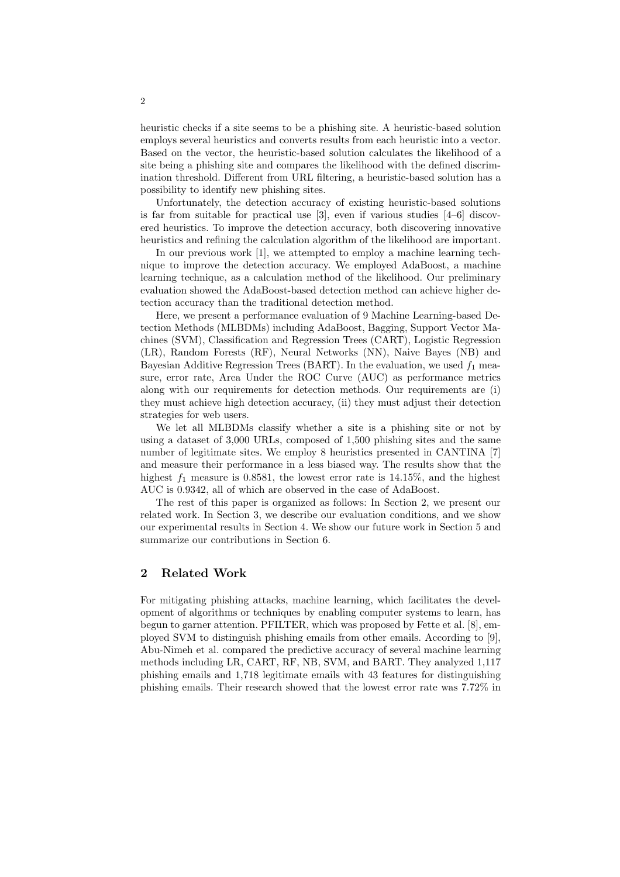heuristic checks if a site seems to be a phishing site. A heuristic-based solution employs several heuristics and converts results from each heuristic into a vector. Based on the vector, the heuristic-based solution calculates the likelihood of a site being a phishing site and compares the likelihood with the defined discrimination threshold. Different from URL filtering, a heuristic-based solution has a possibility to identify new phishing sites.

Unfortunately, the detection accuracy of existing heuristic-based solutions is far from suitable for practical use [3], even if various studies [4–6] discovered heuristics. To improve the detection accuracy, both discovering innovative heuristics and refining the calculation algorithm of the likelihood are important.

In our previous work [1], we attempted to employ a machine learning technique to improve the detection accuracy. We employed AdaBoost, a machine learning technique, as a calculation method of the likelihood. Our preliminary evaluation showed the AdaBoost-based detection method can achieve higher detection accuracy than the traditional detection method.

Here, we present a performance evaluation of 9 Machine Learning-based Detection Methods (MLBDMs) including AdaBoost, Bagging, Support Vector Machines (SVM), Classification and Regression Trees (CART), Logistic Regression (LR), Random Forests (RF), Neural Networks (NN), Naive Bayes (NB) and Bayesian Additive Regression Trees (BART). In the evaluation, we used  $f_1$  measure, error rate, Area Under the ROC Curve (AUC) as performance metrics along with our requirements for detection methods. Our requirements are (i) they must achieve high detection accuracy, (ii) they must adjust their detection strategies for web users.

We let all MLBDMs classify whether a site is a phishing site or not by using a dataset of 3,000 URLs, composed of 1,500 phishing sites and the same number of legitimate sites. We employ 8 heuristics presented in CANTINA [7] and measure their performance in a less biased way. The results show that the highest  $f_1$  measure is 0.8581, the lowest error rate is 14.15%, and the highest AUC is 0.9342, all of which are observed in the case of AdaBoost.

The rest of this paper is organized as follows: In Section 2, we present our related work. In Section 3, we describe our evaluation conditions, and we show our experimental results in Section 4. We show our future work in Section 5 and summarize our contributions in Section 6.

# 2 Related Work

For mitigating phishing attacks, machine learning, which facilitates the development of algorithms or techniques by enabling computer systems to learn, has begun to garner attention. PFILTER, which was proposed by Fette et al. [8], employed SVM to distinguish phishing emails from other emails. According to [9], Abu-Nimeh et al. compared the predictive accuracy of several machine learning methods including LR, CART, RF, NB, SVM, and BART. They analyzed 1,117 phishing emails and 1,718 legitimate emails with 43 features for distinguishing phishing emails. Their research showed that the lowest error rate was 7.72% in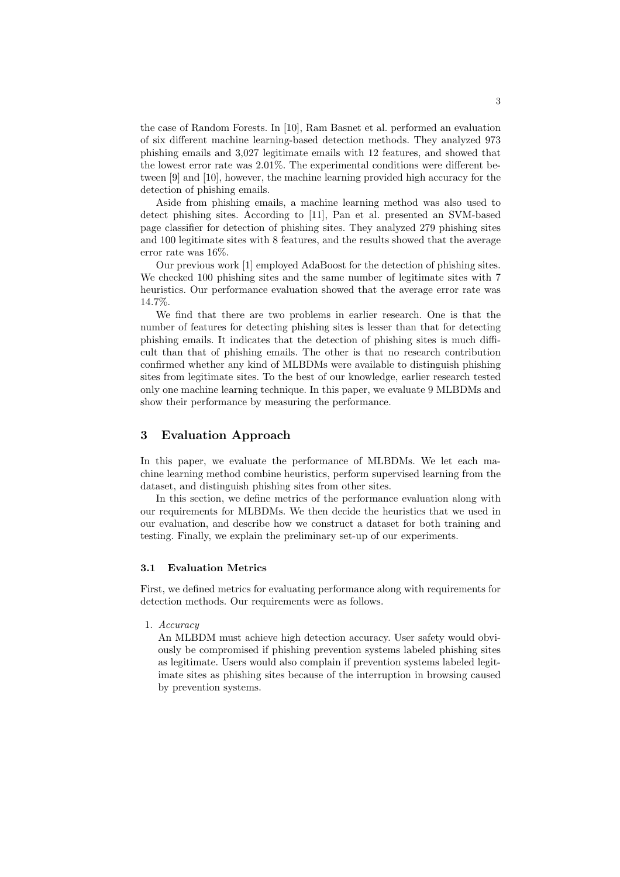the case of Random Forests. In [10], Ram Basnet et al. performed an evaluation of six different machine learning-based detection methods. They analyzed 973 phishing emails and 3,027 legitimate emails with 12 features, and showed that the lowest error rate was 2.01%. The experimental conditions were different between [9] and [10], however, the machine learning provided high accuracy for the detection of phishing emails.

Aside from phishing emails, a machine learning method was also used to detect phishing sites. According to [11], Pan et al. presented an SVM-based page classifier for detection of phishing sites. They analyzed 279 phishing sites and 100 legitimate sites with 8 features, and the results showed that the average error rate was 16%.

Our previous work [1] employed AdaBoost for the detection of phishing sites. We checked 100 phishing sites and the same number of legitimate sites with 7 heuristics. Our performance evaluation showed that the average error rate was 14.7%.

We find that there are two problems in earlier research. One is that the number of features for detecting phishing sites is lesser than that for detecting phishing emails. It indicates that the detection of phishing sites is much difficult than that of phishing emails. The other is that no research contribution confirmed whether any kind of MLBDMs were available to distinguish phishing sites from legitimate sites. To the best of our knowledge, earlier research tested only one machine learning technique. In this paper, we evaluate 9 MLBDMs and show their performance by measuring the performance.

## 3 Evaluation Approach

In this paper, we evaluate the performance of MLBDMs. We let each machine learning method combine heuristics, perform supervised learning from the dataset, and distinguish phishing sites from other sites.

In this section, we define metrics of the performance evaluation along with our requirements for MLBDMs. We then decide the heuristics that we used in our evaluation, and describe how we construct a dataset for both training and testing. Finally, we explain the preliminary set-up of our experiments.

## 3.1 Evaluation Metrics

First, we defined metrics for evaluating performance along with requirements for detection methods. Our requirements were as follows.

1. Accuracy

An MLBDM must achieve high detection accuracy. User safety would obviously be compromised if phishing prevention systems labeled phishing sites as legitimate. Users would also complain if prevention systems labeled legitimate sites as phishing sites because of the interruption in browsing caused by prevention systems.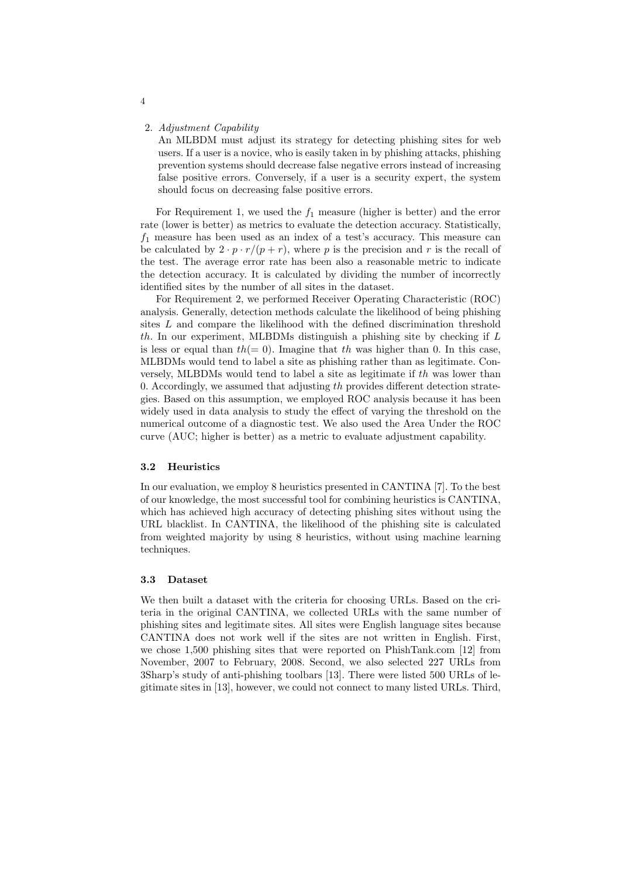#### 2. Adjustment Capability

An MLBDM must adjust its strategy for detecting phishing sites for web users. If a user is a novice, who is easily taken in by phishing attacks, phishing prevention systems should decrease false negative errors instead of increasing false positive errors. Conversely, if a user is a security expert, the system should focus on decreasing false positive errors.

For Requirement 1, we used the  $f_1$  measure (higher is better) and the error rate (lower is better) as metrics to evaluate the detection accuracy. Statistically,  $f_1$  measure has been used as an index of a test's accuracy. This measure can be calculated by  $2 \cdot p \cdot r/(p+r)$ , where p is the precision and r is the recall of the test. The average error rate has been also a reasonable metric to indicate the detection accuracy. It is calculated by dividing the number of incorrectly identified sites by the number of all sites in the dataset.

For Requirement 2, we performed Receiver Operating Characteristic (ROC) analysis. Generally, detection methods calculate the likelihood of being phishing sites L and compare the likelihood with the defined discrimination threshold th. In our experiment, MLBDMs distinguish a phishing site by checking if  $L$ is less or equal than  $th(= 0)$ . Imagine that th was higher than 0. In this case, MLBDMs would tend to label a site as phishing rather than as legitimate. Conversely, MLBDMs would tend to label a site as legitimate if th was lower than 0. Accordingly, we assumed that adjusting  $th$  provides different detection strategies. Based on this assumption, we employed ROC analysis because it has been widely used in data analysis to study the effect of varying the threshold on the numerical outcome of a diagnostic test. We also used the Area Under the ROC curve (AUC; higher is better) as a metric to evaluate adjustment capability.

#### 3.2 Heuristics

In our evaluation, we employ 8 heuristics presented in CANTINA [7]. To the best of our knowledge, the most successful tool for combining heuristics is CANTINA, which has achieved high accuracy of detecting phishing sites without using the URL blacklist. In CANTINA, the likelihood of the phishing site is calculated from weighted majority by using 8 heuristics, without using machine learning techniques.

## 3.3 Dataset

We then built a dataset with the criteria for choosing URLs. Based on the criteria in the original CANTINA, we collected URLs with the same number of phishing sites and legitimate sites. All sites were English language sites because CANTINA does not work well if the sites are not written in English. First, we chose 1,500 phishing sites that were reported on PhishTank.com [12] from November, 2007 to February, 2008. Second, we also selected 227 URLs from 3Sharp's study of anti-phishing toolbars [13]. There were listed 500 URLs of legitimate sites in [13], however, we could not connect to many listed URLs. Third,

4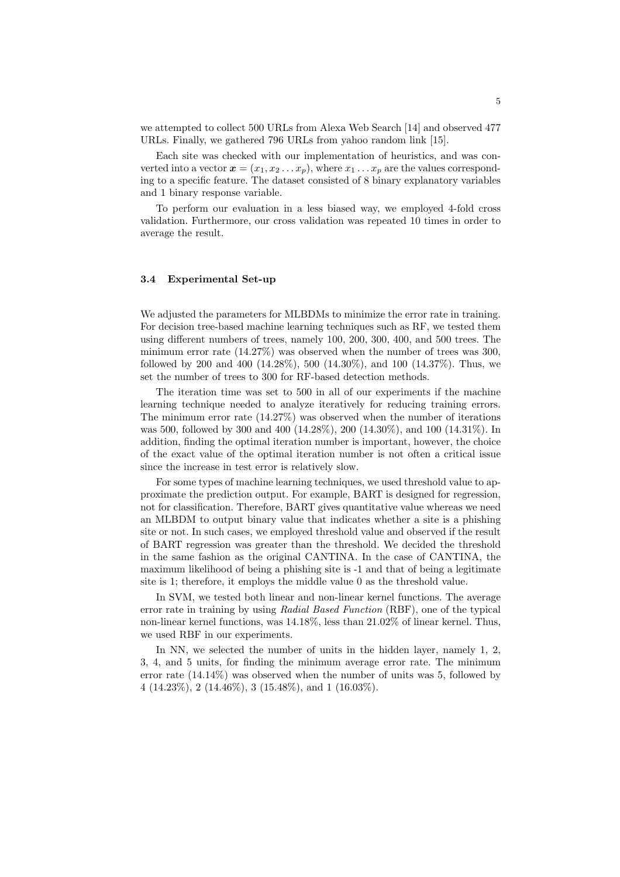we attempted to collect 500 URLs from Alexa Web Search [14] and observed 477 URLs. Finally, we gathered 796 URLs from yahoo random link [15].

Each site was checked with our implementation of heuristics, and was converted into a vector  $\boldsymbol{x} = (x_1, x_2 \dots x_p)$ , where  $x_1 \dots x_p$  are the values corresponding to a specific feature. The dataset consisted of 8 binary explanatory variables and 1 binary response variable.

To perform our evaluation in a less biased way, we employed 4-fold cross validation. Furthermore, our cross validation was repeated 10 times in order to average the result.

#### 3.4 Experimental Set-up

We adjusted the parameters for MLBDMs to minimize the error rate in training. For decision tree-based machine learning techniques such as RF, we tested them using different numbers of trees, namely 100, 200, 300, 400, and 500 trees. The minimum error rate  $(14.27\%)$  was observed when the number of trees was 300, followed by 200 and 400 (14.28%), 500 (14.30%), and 100 (14.37%). Thus, we set the number of trees to 300 for RF-based detection methods.

The iteration time was set to 500 in all of our experiments if the machine learning technique needed to analyze iteratively for reducing training errors. The minimum error rate  $(14.27\%)$  was observed when the number of iterations was 500, followed by 300 and 400 (14.28%), 200 (14.30%), and 100 (14.31%). In addition, finding the optimal iteration number is important, however, the choice of the exact value of the optimal iteration number is not often a critical issue since the increase in test error is relatively slow.

For some types of machine learning techniques, we used threshold value to approximate the prediction output. For example, BART is designed for regression, not for classification. Therefore, BART gives quantitative value whereas we need an MLBDM to output binary value that indicates whether a site is a phishing site or not. In such cases, we employed threshold value and observed if the result of BART regression was greater than the threshold. We decided the threshold in the same fashion as the original CANTINA. In the case of CANTINA, the maximum likelihood of being a phishing site is -1 and that of being a legitimate site is 1; therefore, it employs the middle value 0 as the threshold value.

In SVM, we tested both linear and non-linear kernel functions. The average error rate in training by using Radial Based Function (RBF), one of the typical non-linear kernel functions, was 14.18%, less than 21.02% of linear kernel. Thus, we used RBF in our experiments.

In NN, we selected the number of units in the hidden layer, namely 1, 2, 3, 4, and 5 units, for finding the minimum average error rate. The minimum error rate (14.14%) was observed when the number of units was 5, followed by  $4 (14.23\%), 2 (14.46\%), 3 (15.48\%), and 1 (16.03\%).$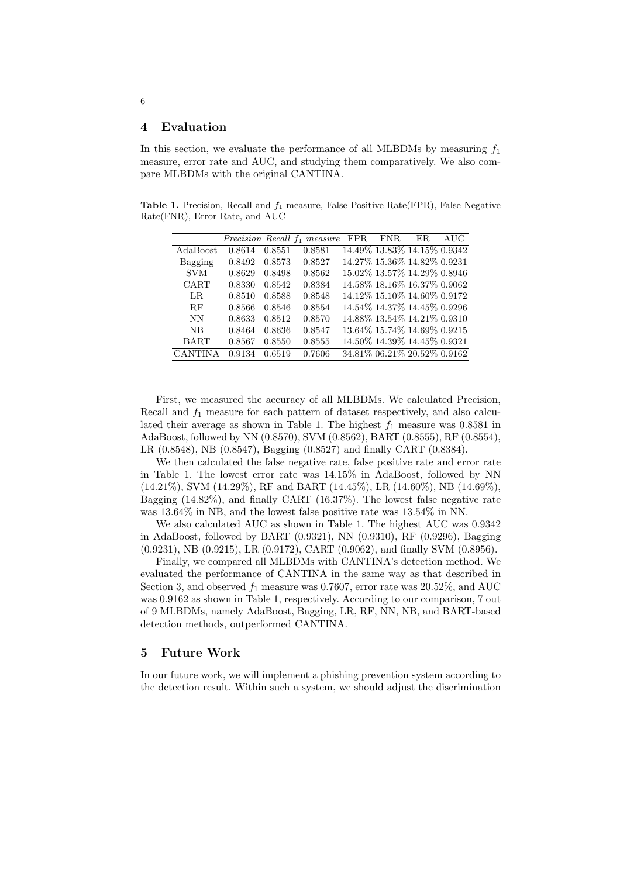# 4 Evaluation

In this section, we evaluate the performance of all MLBDMs by measuring  $f_1$ measure, error rate and AUC, and studying them comparatively. We also compare MLBDMs with the original CANTINA.

Table 1. Precision, Recall and  $f_1$  measure, False Positive Rate(FPR), False Negative Rate(FNR), Error Rate, and AUC

|             |        |        | Precision Recall $f_1$ measure | <b>FPR</b> | FNR. | ER                             | AUC |
|-------------|--------|--------|--------------------------------|------------|------|--------------------------------|-----|
| AdaBoost    | 0.8614 | 0.8551 | 0.8581                         |            |      | 14.49% 13.83% 14.15% 0.9342    |     |
| Bagging     | 0.8492 | 0.8573 | 0.8527                         |            |      | 14.27% 15.36% 14.82% 0.9231    |     |
| <b>SVM</b>  | 0.8629 | 0.8498 | 0.8562                         |            |      | 15.02\% 13.57\% 14.29\% 0.8946 |     |
| CART        | 0.8330 | 0.8542 | 0.8384                         |            |      | 14.58% 18.16% 16.37% 0.9062    |     |
| LR.         | 0.8510 | 0.8588 | 0.8548                         |            |      | 14.12% 15.10% 14.60% 0.9172    |     |
| RF          | 0.8566 | 0.8546 | 0.8554                         |            |      | 14.54% 14.37% 14.45% 0.9296    |     |
| NN          | 0.8633 | 0.8512 | 0.8570                         |            |      | 14.88% 13.54% 14.21% 0.9310    |     |
| NB          | 0.8464 | 0.8636 | 0.8547                         |            |      | 13.64% 15.74% 14.69% 0.9215    |     |
| <b>BART</b> | 0.8567 | 0.8550 | 0.8555                         |            |      | 14.50% 14.39% 14.45% 0.9321    |     |
|             | 0.9134 | 0.6519 | 0.7606                         |            |      | 34.81% 06.21% 20.52% 0.9162    |     |

First, we measured the accuracy of all MLBDMs. We calculated Precision, Recall and  $f_1$  measure for each pattern of dataset respectively, and also calculated their average as shown in Table 1. The highest  $f_1$  measure was 0.8581 in AdaBoost, followed by NN (0.8570), SVM (0.8562), BART (0.8555), RF (0.8554), LR (0.8548), NB (0.8547), Bagging (0.8527) and finally CART (0.8384).

We then calculated the false negative rate, false positive rate and error rate in Table 1. The lowest error rate was 14.15% in AdaBoost, followed by NN (14.21%), SVM (14.29%), RF and BART (14.45%), LR (14.60%), NB (14.69%), Bagging (14.82%), and finally CART (16.37%). The lowest false negative rate was 13.64% in NB, and the lowest false positive rate was 13.54% in NN.

We also calculated AUC as shown in Table 1. The highest AUC was 0.9342 in AdaBoost, followed by BART (0.9321), NN (0.9310), RF (0.9296), Bagging (0.9231), NB (0.9215), LR (0.9172), CART (0.9062), and finally SVM (0.8956).

Finally, we compared all MLBDMs with CANTINA's detection method. We evaluated the performance of CANTINA in the same way as that described in Section 3, and observed  $f_1$  measure was 0.7607, error rate was 20.52%, and AUC was 0.9162 as shown in Table 1, respectively. According to our comparison, 7 out of 9 MLBDMs, namely AdaBoost, Bagging, LR, RF, NN, NB, and BART-based detection methods, outperformed CANTINA.

## 5 Future Work

In our future work, we will implement a phishing prevention system according to the detection result. Within such a system, we should adjust the discrimination

6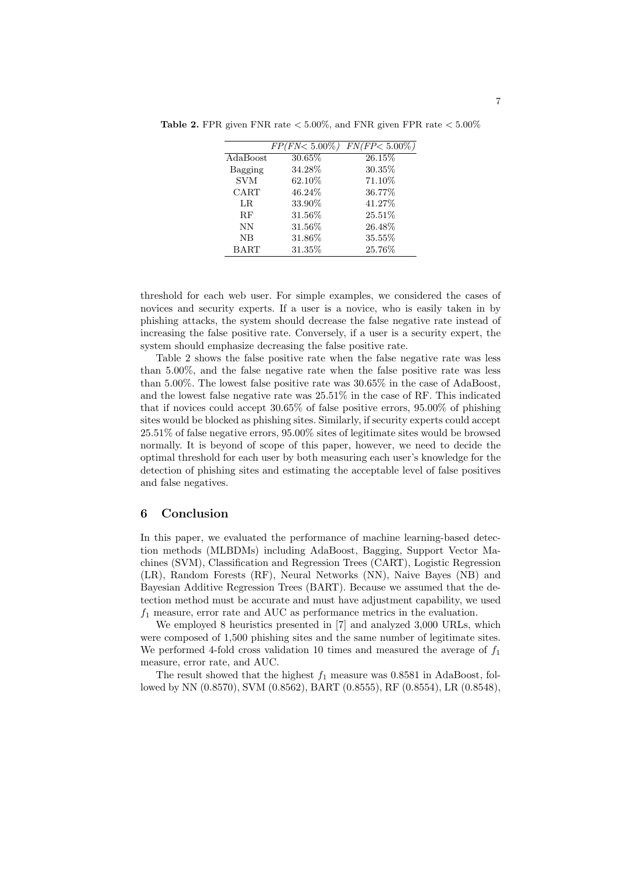|            | FP(FN <sub>0.00%</sub> | $FN(FP < 5.00\%$ |
|------------|------------------------|------------------|
| AdaBoost   | 30.65%                 | 26.15%           |
| Bagging    | 34.28%                 | 30.35%           |
| <b>SVM</b> | 62.10%                 | 71.10%           |
| CART       | 46.24%                 | 36.77%           |
| LR.        | 33.90%                 | 41.27%           |
| RF         | 31.56%                 | 25.51%           |
| NN         | 31.56%                 | 26.48%           |
| NB         | 31.86%                 | 35.55%           |
| BART       | 31.35%                 | 25.76%           |

**Table 2.** FPR given FNR rate  $\lt$  5.00%, and FNR given FPR rate  $\lt$  5.00%

threshold for each web user. For simple examples, we considered the cases of novices and security experts. If a user is a novice, who is easily taken in by phishing attacks, the system should decrease the false negative rate instead of increasing the false positive rate. Conversely, if a user is a security expert, the system should emphasize decreasing the false positive rate.

Table 2 shows the false positive rate when the false negative rate was less than 5.00%, and the false negative rate when the false positive rate was less than 5.00%. The lowest false positive rate was 30.65% in the case of AdaBoost, and the lowest false negative rate was 25.51% in the case of RF. This indicated that if novices could accept 30.65% of false positive errors, 95.00% of phishing sites would be blocked as phishing sites. Similarly, if security experts could accept 25.51% of false negative errors, 95.00% sites of legitimate sites would be browsed normally. It is beyond of scope of this paper, however, we need to decide the optimal threshold for each user by both measuring each user's knowledge for the detection of phishing sites and estimating the acceptable level of false positives and false negatives.

## 6 Conclusion

In this paper, we evaluated the performance of machine learning-based detection methods (MLBDMs) including AdaBoost, Bagging, Support Vector Machines (SVM), Classification and Regression Trees (CART), Logistic Regression (LR), Random Forests (RF), Neural Networks (NN), Naive Bayes (NB) and Bayesian Additive Regression Trees (BART). Because we assumed that the detection method must be accurate and must have adjustment capability, we used  $f_1$  measure, error rate and AUC as performance metrics in the evaluation.

We employed 8 heuristics presented in [7] and analyzed 3,000 URLs, which were composed of 1,500 phishing sites and the same number of legitimate sites. We performed 4-fold cross validation 10 times and measured the average of  $f_1$ measure, error rate, and AUC.

The result showed that the highest  $f_1$  measure was 0.8581 in AdaBoost, followed by NN (0.8570), SVM (0.8562), BART (0.8555), RF (0.8554), LR (0.8548),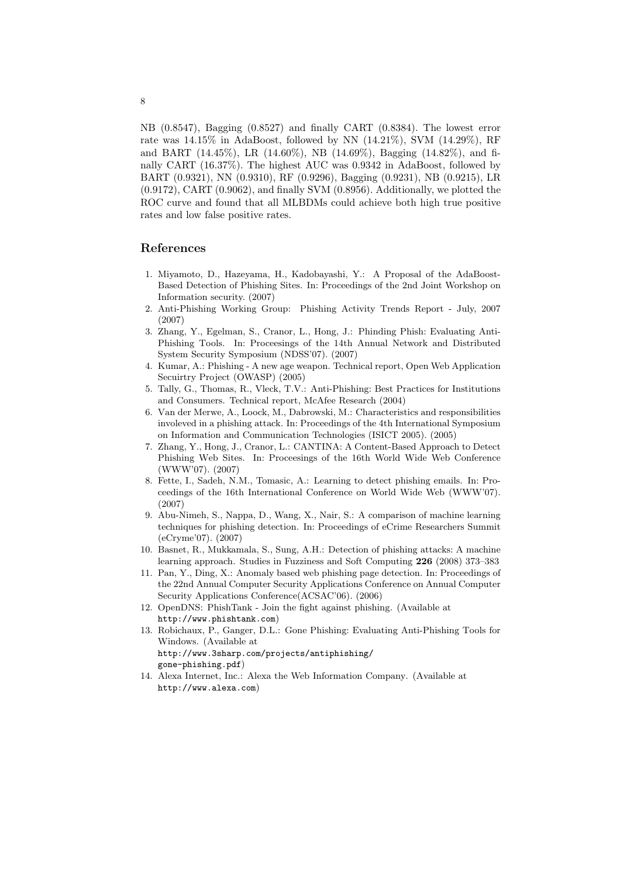NB (0.8547), Bagging (0.8527) and finally CART (0.8384). The lowest error rate was 14.15% in AdaBoost, followed by NN (14.21%), SVM (14.29%), RF and BART (14.45%), LR (14.60%), NB (14.69%), Bagging (14.82%), and finally CART (16.37%). The highest AUC was 0.9342 in AdaBoost, followed by BART (0.9321), NN (0.9310), RF (0.9296), Bagging (0.9231), NB (0.9215), LR (0.9172), CART (0.9062), and finally SVM (0.8956). Additionally, we plotted the ROC curve and found that all MLBDMs could achieve both high true positive rates and low false positive rates.

# References

- 1. Miyamoto, D., Hazeyama, H., Kadobayashi, Y.: A Proposal of the AdaBoost-Based Detection of Phishing Sites. In: Proceedings of the 2nd Joint Workshop on Information security. (2007)
- 2. Anti-Phishing Working Group: Phishing Activity Trends Report July, 2007 (2007)
- 3. Zhang, Y., Egelman, S., Cranor, L., Hong, J.: Phinding Phish: Evaluating Anti-Phishing Tools. In: Proceesings of the 14th Annual Network and Distributed System Security Symposium (NDSS'07). (2007)
- 4. Kumar, A.: Phishing A new age weapon. Technical report, Open Web Application Secuirtry Project (OWASP) (2005)
- 5. Tally, G., Thomas, R., Vleck, T.V.: Anti-Phishing: Best Practices for Institutions and Consumers. Technical report, McAfee Research (2004)
- 6. Van der Merwe, A., Loock, M., Dabrowski, M.: Characteristics and responsibilities involeved in a phishing attack. In: Proceedings of the 4th International Symposium on Information and Communication Technologies (ISICT 2005). (2005)
- 7. Zhang, Y., Hong, J., Cranor, L.: CANTINA: A Content-Based Approach to Detect Phishing Web Sites. In: Proceesings of the 16th World Wide Web Conference (WWW'07). (2007)
- 8. Fette, I., Sadeh, N.M., Tomasic, A.: Learning to detect phishing emails. In: Proceedings of the 16th International Conference on World Wide Web (WWW'07). (2007)
- 9. Abu-Nimeh, S., Nappa, D., Wang, X., Nair, S.: A comparison of machine learning techniques for phishing detection. In: Proceedings of eCrime Researchers Summit (eCryme'07). (2007)
- 10. Basnet, R., Mukkamala, S., Sung, A.H.: Detection of phishing attacks: A machine learning approach. Studies in Fuzziness and Soft Computing 226 (2008) 373–383
- 11. Pan, Y., Ding, X.: Anomaly based web phishing page detection. In: Proceedings of the 22nd Annual Computer Security Applications Conference on Annual Computer Security Applications Conference(ACSAC'06). (2006)
- 12. OpenDNS: PhishTank Join the fight against phishing. (Available at http://www.phishtank.com)
- 13. Robichaux, P., Ganger, D.L.: Gone Phishing: Evaluating Anti-Phishing Tools for Windows. (Available at http://www.3sharp.com/projects/antiphishing/ gone-phishing.pdf)
- 14. Alexa Internet, Inc.: Alexa the Web Information Company. (Available at http://www.alexa.com)